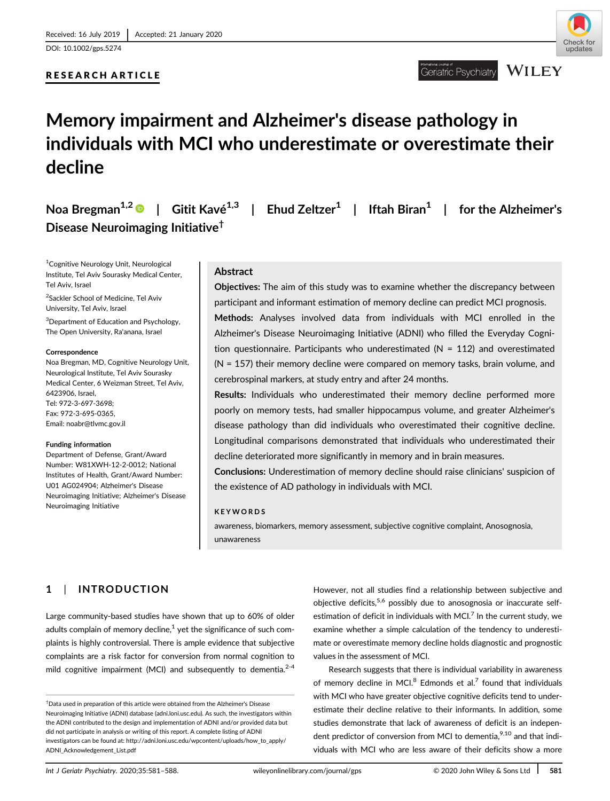DOI: 10.1002/gps.5274

## RESEARCH ARTICLE



#### **WILEY** Geriatric Psychiatry

# Memory impairment and Alzheimer's disease pathology in individuals with MCI who underestimate or overestimate their decline

Noa Bregman<sup>1,2</sup> | Gitit Kavé<sup>1,3</sup> | Ehud Zeltzer<sup>1</sup> | Iftah Biran<sup>1</sup> | for the Alzheimer's Disease Neuroimaging Initiative†

1 Cognitive Neurology Unit, Neurological Institute, Tel Aviv Sourasky Medical Center, Tel Aviv, Israel

<sup>2</sup>Sackler School of Medicine, Tel Aviv University, Tel Aviv, Israel

3 Department of Education and Psychology, The Open University, Ra'anana, Israel

#### Correspondence

Noa Bregman, MD, Cognitive Neurology Unit, Neurological Institute, Tel Aviv Sourasky Medical Center, 6 Weizman Street, Tel Aviv, 6423906, Israel, Tel: 972-3-697-3698; Fax: 972-3-695-0365, Email: [noabr@tlvmc.gov.il](mailto:noabr@tlvmc.gov.il)

#### Funding information

Department of Defense, Grant/Award Number: W81XWH-12-2-0012; National Institutes of Health, Grant/Award Number: U01 AG024904; Alzheimer's Disease Neuroimaging Initiative; Alzheimer's Disease Neuroimaging Initiative

## Abstract

Objectives: The aim of this study was to examine whether the discrepancy between participant and informant estimation of memory decline can predict MCI prognosis. Methods: Analyses involved data from individuals with MCI enrolled in the Alzheimer's Disease Neuroimaging Initiative (ADNI) who filled the Everyday Cognition questionnaire. Participants who underestimated (N = 112) and overestimated (N = 157) their memory decline were compared on memory tasks, brain volume, and cerebrospinal markers, at study entry and after 24 months.

Results: Individuals who underestimated their memory decline performed more poorly on memory tests, had smaller hippocampus volume, and greater Alzheimer's disease pathology than did individuals who overestimated their cognitive decline. Longitudinal comparisons demonstrated that individuals who underestimated their decline deteriorated more significantly in memory and in brain measures.

Conclusions: Underestimation of memory decline should raise clinicians' suspicion of the existence of AD pathology in individuals with MCI.

### KEYWORDS

awareness, biomarkers, memory assessment, subjective cognitive complaint, Anosognosia, unawareness

## 1 | INTRODUCTION

Large community-based studies have shown that up to 60% of older adults complain of memory decline, $<sup>1</sup>$  yet the significance of such com-</sup> plaints is highly controversial. There is ample evidence that subjective complaints are a risk factor for conversion from normal cognition to mild cognitive impairment (MCI) and subsequently to dementia. $2-4$ 

However, not all studies find a relationship between subjective and objective deficits, $5,6$  possibly due to anosognosia or inaccurate selfestimation of deficit in individuals with MCI. $^7$  In the current study, we examine whether a simple calculation of the tendency to underestimate or overestimate memory decline holds diagnostic and prognostic values in the assessment of MCI.

Research suggests that there is individual variability in awareness of memory decline in MCI. $8$  Edmonds et al.<sup>7</sup> found that individuals with MCI who have greater objective cognitive deficits tend to underestimate their decline relative to their informants. In addition, some studies demonstrate that lack of awareness of deficit is an independent predictor of conversion from MCI to dementia.<sup>9,10</sup> and that individuals with MCI who are less aware of their deficits show a more

<sup>†</sup> Data used in preparation of this article were obtained from the Alzheimer's Disease Neuroimaging Initiative (ADNI) database (adni.loni.usc.edu). As such, the investigators within the ADNI contributed to the design and implementation of ADNI and/or provided data but did not participate in analysis or writing of this report. A complete listing of ADNI investigators can be found at: [http://adni.loni.usc.edu/wpcontent/uploads/how\\_to\\_apply/](http://adni.loni.usc.edu/wpcontent/uploads/how_to_apply/ADNI_Acknowledgement_List.pdf) [ADNI\\_Acknowledgement\\_List.pdf](http://adni.loni.usc.edu/wpcontent/uploads/how_to_apply/ADNI_Acknowledgement_List.pdf)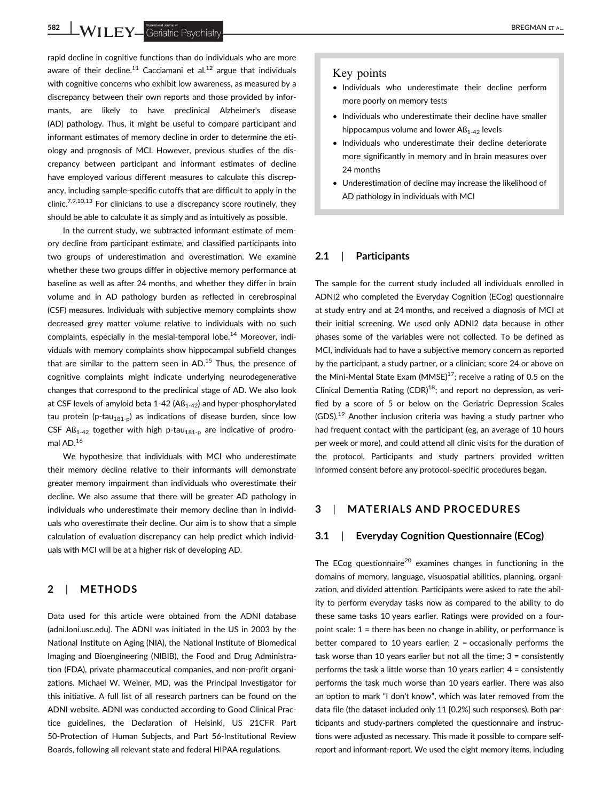582 WILEY Geriatric Psychiatry **Example 2007** 

rapid decline in cognitive functions than do individuals who are more aware of their decline.<sup>11</sup> Cacciamani et al.<sup>12</sup> argue that individuals with cognitive concerns who exhibit low awareness, as measured by a discrepancy between their own reports and those provided by informants, are likely to have preclinical Alzheimer's disease (AD) pathology. Thus, it might be useful to compare participant and informant estimates of memory decline in order to determine the etiology and prognosis of MCI. However, previous studies of the discrepancy between participant and informant estimates of decline have employed various different measures to calculate this discrepancy, including sample-specific cutoffs that are difficult to apply in the clinic.<sup>7,9,10,13</sup> For clinicians to use a discrepancy score routinely, they should be able to calculate it as simply and as intuitively as possible.

In the current study, we subtracted informant estimate of memory decline from participant estimate, and classified participants into two groups of underestimation and overestimation. We examine whether these two groups differ in objective memory performance at baseline as well as after 24 months, and whether they differ in brain volume and in AD pathology burden as reflected in cerebrospinal (CSF) measures. Individuals with subjective memory complaints show decreased grey matter volume relative to individuals with no such complaints, especially in the mesial-temporal lobe.14 Moreover, individuals with memory complaints show hippocampal subfield changes that are similar to the pattern seen in  $AD$ <sup>15</sup> Thus, the presence of cognitive complaints might indicate underlying neurodegenerative changes that correspond to the preclinical stage of AD. We also look at CSF levels of amyloid beta 1-42 ( $AB<sub>1-42</sub>$ ) and hyper-phosphorylated tau protein (p-tau<sub>181-p</sub>) as indications of disease burden, since low CSF A $B_{1-42}$  together with high p-tau<sub>181-p</sub> are indicative of prodromal AD.16

We hypothesize that individuals with MCI who underestimate their memory decline relative to their informants will demonstrate greater memory impairment than individuals who overestimate their decline. We also assume that there will be greater AD pathology in individuals who underestimate their memory decline than in individuals who overestimate their decline. Our aim is to show that a simple calculation of evaluation discrepancy can help predict which individuals with MCI will be at a higher risk of developing AD.

### 2 | METHODS

Data used for this article were obtained from the ADNI database ([adni.loni.usc.edu\)](http://adni.loni.usc.edu). The ADNI was initiated in the US in 2003 by the National Institute on Aging (NIA), the National Institute of Biomedical Imaging and Bioengineering (NIBIB), the Food and Drug Administration (FDA), private pharmaceutical companies, and non-profit organizations. Michael W. Weiner, MD, was the Principal Investigator for this initiative. A full list of all research partners can be found on the ADNI website. ADNI was conducted according to Good Clinical Practice guidelines, the Declaration of Helsinki, US 21CFR Part 50-Protection of Human Subjects, and Part 56-Institutional Review Boards, following all relevant state and federal HIPAA regulations.

## Key points

- Individuals who underestimate their decline perform more poorly on memory tests
- Individuals who underestimate their decline have smaller hippocampus volume and lower  $\text{AS}_{1-42}$  levels
- Individuals who underestimate their decline deteriorate more significantly in memory and in brain measures over 24 months
- Underestimation of decline may increase the likelihood of AD pathology in individuals with MCI

### 2.1 | Participants

The sample for the current study included all individuals enrolled in ADNI2 who completed the Everyday Cognition (ECog) questionnaire at study entry and at 24 months, and received a diagnosis of MCI at their initial screening. We used only ADNI2 data because in other phases some of the variables were not collected. To be defined as MCI, individuals had to have a subjective memory concern as reported by the participant, a study partner, or a clinician; score 24 or above on the Mini-Mental State Exam (MMSE)<sup>17</sup>; receive a rating of 0.5 on the Clinical Dementia Rating  $(CDR)^{18}$ ; and report no depression, as verified by a score of 5 or below on the Geriatric Depression Scales  $(GDS)$ .<sup>19</sup> Another inclusion criteria was having a study partner who had frequent contact with the participant (eg, an average of 10 hours per week or more), and could attend all clinic visits for the duration of the protocol. Participants and study partners provided written informed consent before any protocol-specific procedures began.

## 3 | MATERIALS AND PROCEDURES

#### 3.1 | Everyday Cognition Questionnaire (ECog)

The ECog questionnaire<sup>20</sup> examines changes in functioning in the domains of memory, language, visuospatial abilities, planning, organization, and divided attention. Participants were asked to rate the ability to perform everyday tasks now as compared to the ability to do these same tasks 10 years earlier. Ratings were provided on a fourpoint scale: 1 = there has been no change in ability, or performance is better compared to 10 years earlier;  $2 =$  occasionally performs the task worse than 10 years earlier but not all the time; 3 = consistently performs the task a little worse than 10 years earlier; 4 = consistently performs the task much worse than 10 years earlier. There was also an option to mark "I don't know", which was later removed from the data file (the dataset included only 11 [0.2%] such responses). Both participants and study-partners completed the questionnaire and instructions were adjusted as necessary. This made it possible to compare selfreport and informant-report. We used the eight memory items, including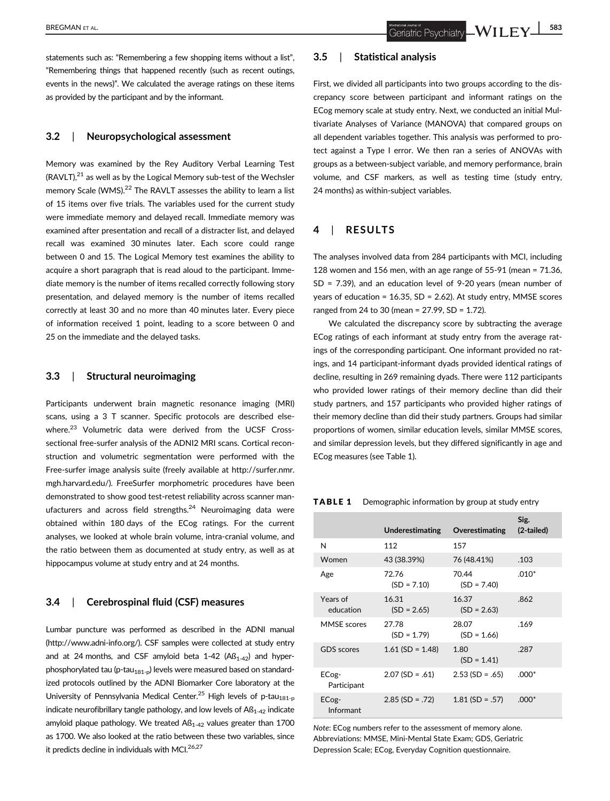## 3.2 | Neuropsychological assessment

Memory was examined by the Rey Auditory Verbal Learning Test  $(RAVLT),<sup>21</sup>$  as well as by the Logical Memory sub-test of the Wechsler memory Scale (WMS).<sup>22</sup> The RAVLT assesses the ability to learn a list of 15 items over five trials. The variables used for the current study were immediate memory and delayed recall. Immediate memory was examined after presentation and recall of a distracter list, and delayed recall was examined 30 minutes later. Each score could range between 0 and 15. The Logical Memory test examines the ability to acquire a short paragraph that is read aloud to the participant. Immediate memory is the number of items recalled correctly following story presentation, and delayed memory is the number of items recalled correctly at least 30 and no more than 40 minutes later. Every piece of information received 1 point, leading to a score between 0 and 25 on the immediate and the delayed tasks.

#### 3.3 | Structural neuroimaging

Participants underwent brain magnetic resonance imaging (MRI) scans, using a 3 T scanner. Specific protocols are described elsewhere.<sup>23</sup> Volumetric data were derived from the UCSF Crosssectional free-surfer analysis of the ADNI2 MRI scans. Cortical reconstruction and volumetric segmentation were performed with the Free-surfer image analysis suite (freely available at [http://surfer.nmr.](http://surfer.nmr.mgh.harvard.edu/) [mgh.harvard.edu/](http://surfer.nmr.mgh.harvard.edu/)). FreeSurfer morphometric procedures have been demonstrated to show good test-retest reliability across scanner manufacturers and across field strengths. $24$  Neuroimaging data were obtained within 180 days of the ECog ratings. For the current analyses, we looked at whole brain volume, intra-cranial volume, and the ratio between them as documented at study entry, as well as at hippocampus volume at study entry and at 24 months.

#### 3.4 | Cerebrospinal fluid (CSF) measures

Lumbar puncture was performed as described in the ADNI manual ([http://www.adni-info.org/\)](http://www.adni-info.org/). CSF samples were collected at study entry and at 24 months, and CSF amyloid beta 1-42 ( $\text{AS}_{1-42}$ ) and hyperphosphorylated tau (p-tau<sub>181-p</sub>) levels were measured based on standardized protocols outlined by the ADNI Biomarker Core laboratory at the University of Pennsylvania Medical Center.<sup>25</sup> High levels of p-tau<sub>181-p</sub> indicate neurofibrillary tangle pathology, and low levels of  $AB<sub>1-42</sub>$  indicate amyloid plaque pathology. We treated  $\text{AS}_{1\text{-}42}$  values greater than 1700 as 1700. We also looked at the ratio between these two variables, since it predicts decline in individuals with MCI. $26,27$ 

## 3.5 | Statistical analysis

First, we divided all participants into two groups according to the discrepancy score between participant and informant ratings on the ECog memory scale at study entry. Next, we conducted an initial Multivariate Analyses of Variance (MANOVA) that compared groups on all dependent variables together. This analysis was performed to protect against a Type I error. We then ran a series of ANOVAs with groups as a between-subject variable, and memory performance, brain volume, and CSF markers, as well as testing time (study entry, 24 months) as within-subject variables.

## 4 | RESULTS

The analyses involved data from 284 participants with MCI, including 128 women and 156 men, with an age range of 55-91 (mean = 71.36, SD = 7.39), and an education level of 9-20 years (mean number of years of education = 16.35, SD = 2.62). At study entry, MMSE scores ranged from 24 to 30 (mean = 27.99, SD = 1.72).

We calculated the discrepancy score by subtracting the average ECog ratings of each informant at study entry from the average ratings of the corresponding participant. One informant provided no ratings, and 14 participant-informant dyads provided identical ratings of decline, resulting in 269 remaining dyads. There were 112 participants who provided lower ratings of their memory decline than did their study partners, and 157 participants who provided higher ratings of their memory decline than did their study partners. Groups had similar proportions of women, similar education levels, similar MMSE scores, and similar depression levels, but they differed significantly in age and ECog measures (see Table 1).

#### TABLE 1 Demographic information by group at study entry

|                       | Underestimating        | Overestimating         | Sig.<br>(2-tailed) |
|-----------------------|------------------------|------------------------|--------------------|
| N                     | 112                    | 157                    |                    |
| Women                 | 43 (38.39%)            | 76 (48.41%)            | .103               |
| Age                   | 72.76<br>$(SD = 7.10)$ | 70.44<br>$(SD = 7.40)$ | $.010*$            |
| Years of<br>education | 16.31<br>$(SD = 2.65)$ | 16.37<br>$(SD = 2.63)$ | .862               |
| <b>MMSE</b> scores    | 27.78<br>$(SD = 1.79)$ | 28.07<br>$(SD = 1.66)$ | .169               |
| <b>GDS</b> scores     | $1.61$ (SD = 1.48)     | 1.80<br>$(SD = 1.41)$  | .287               |
| ECog-<br>Participant  | $2.07$ (SD = .61)      | $2.53$ (SD = .65)      | $.000*$            |
| ECog-<br>Informant    | $2.85$ (SD = .72)      | $1.81$ (SD = .57)      | $.000*$            |

Note: ECog numbers refer to the assessment of memory alone. Abbreviations: MMSE, Mini-Mental State Exam; GDS, Geriatric Depression Scale; ECog, Everyday Cognition questionnaire.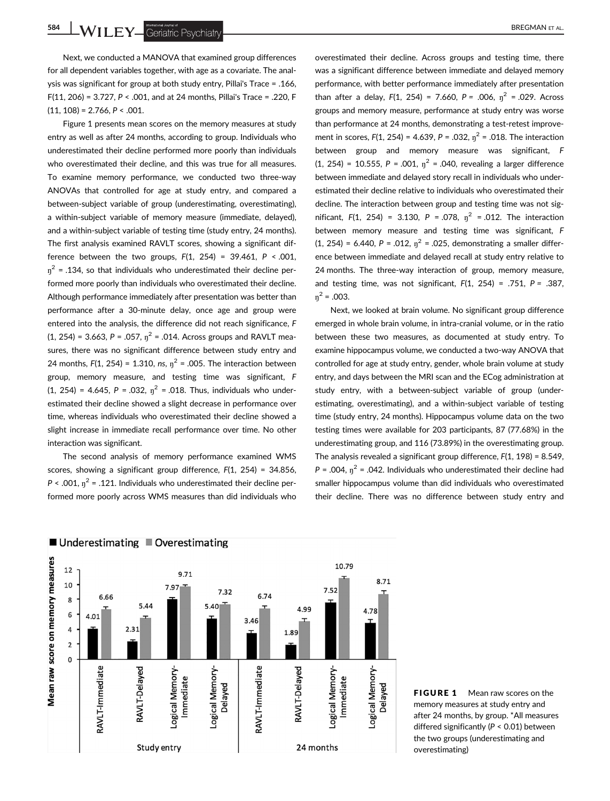**584 WILEY** Geriatric Psychiatry

Next, we conducted a MANOVA that examined group differences for all dependent variables together, with age as a covariate. The analysis was significant for group at both study entry, Pillai's Trace = .166, F(11, 206) = 3.727, P < .001, and at 24 months, Pillai's Trace = .220, F  $(11, 108) = 2.766$ ,  $P < .001$ .

Figure 1 presents mean scores on the memory measures at study entry as well as after 24 months, according to group. Individuals who underestimated their decline performed more poorly than individuals who overestimated their decline, and this was true for all measures. To examine memory performance, we conducted two three-way ANOVAs that controlled for age at study entry, and compared a between-subject variable of group (underestimating, overestimating), a within-subject variable of memory measure (immediate, delayed), and a within-subject variable of testing time (study entry, 24 months). The first analysis examined RAVLT scores, showing a significant difference between the two groups,  $F(1, 254) = 39.461$ ,  $P < .001$ ,  $\eta^2$  = .134, so that individuals who underestimated their decline performed more poorly than individuals who overestimated their decline. Although performance immediately after presentation was better than performance after a 30-minute delay, once age and group were entered into the analysis, the difference did not reach significance, F  $(1, 254) = 3.663$ ,  $P = .057$ ,  $\eta^2 = .014$ . Across groups and RAVLT measures, there was no significant difference between study entry and 24 months,  $F(1, 254) = 1.310$ , ns,  $\eta^2 = .005$ . The interaction between group, memory measure, and testing time was significant, F  $(1, 254) = 4.645$ ,  $P = .032$ ,  $\eta^2 = .018$ . Thus, individuals who underestimated their decline showed a slight decrease in performance over time, whereas individuals who overestimated their decline showed a slight increase in immediate recall performance over time. No other interaction was significant.

The second analysis of memory performance examined WMS scores, showing a significant group difference, F(1, 254) = 34.856,  $P < .001$ ,  $\eta^2 = .121$ . Individuals who underestimated their decline performed more poorly across WMS measures than did individuals who overestimated their decline. Across groups and testing time, there

was a significant difference between immediate and delayed memory performance, with better performance immediately after presentation than after a delay,  $F(1, 254) = 7.660$ ,  $P = .006$ ,  $\eta^2 = .029$ . Across groups and memory measure, performance at study entry was worse than performance at 24 months, demonstrating a test-retest improvement in scores,  $F(1, 254) = 4.639$ ,  $P = .032$ ,  $n^2 = .018$ . The interaction between group and memory measure was significant, F (1, 254) = 10.555,  $P = .001$ ,  $\eta^2 = .040$ , revealing a larger difference between immediate and delayed story recall in individuals who underestimated their decline relative to individuals who overestimated their decline. The interaction between group and testing time was not significant,  $F(1, 254) = 3.130$ ,  $P = .078$ ,  $\eta^2 = .012$ . The interaction between memory measure and testing time was significant, F (1, 254) = 6.440,  $P = .012$ ,  $\eta^2 = .025$ , demonstrating a smaller difference between immediate and delayed recall at study entry relative to 24 months. The three-way interaction of group, memory measure, and testing time, was not significant,  $F(1, 254) = .751$ ,  $P = .387$ ,  $\eta^2$  = .003.

Next, we looked at brain volume. No significant group difference emerged in whole brain volume, in intra-cranial volume, or in the ratio between these two measures, as documented at study entry. To examine hippocampus volume, we conducted a two-way ANOVA that controlled for age at study entry, gender, whole brain volume at study entry, and days between the MRI scan and the ECog administration at study entry, with a between-subject variable of group (underestimating, overestimating), and a within-subject variable of testing time (study entry, 24 months). Hippocampus volume data on the two testing times were available for 203 participants, 87 (77.68%) in the underestimating group, and 116 (73.89%) in the overestimating group. The analysis revealed a significant group difference, F(1, 198) = 8.549,  $P = .004$ ,  $\eta^2 = .042$ . Individuals who underestimated their decline had smaller hippocampus volume than did individuals who overestimated their decline. There was no difference between study entry and



FIGURE 1 Mean raw scores on the memory measures at study entry and after 24 months, by group. \*All measures differed significantly (P < 0.01) between the two groups (underestimating and overestimating)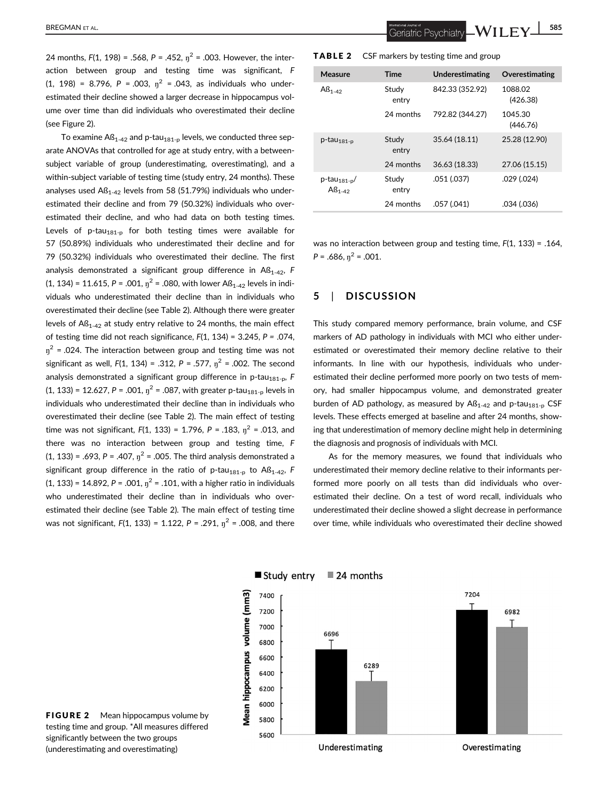24 months,  $F(1, 198) = .568$ ,  $P = .452$ ,  $n^2 = .003$ . However, the interaction between group and testing time was significant, F  $(1, 198) = 8.796$ ,  $P = .003$ ,  $\eta^2 = .043$ , as individuals who underestimated their decline showed a larger decrease in hippocampus volume over time than did individuals who overestimated their decline (see Figure 2).

To examine  $\text{AS}_{1-42}$  and p-tau<sub>181-p</sub> levels, we conducted three separate ANOVAs that controlled for age at study entry, with a betweensubject variable of group (underestimating, overestimating), and a within-subject variable of testing time (study entry, 24 months). These analyses used  $\text{AB}_{1-42}$  levels from 58 (51.79%) individuals who underestimated their decline and from 79 (50.32%) individuals who overestimated their decline, and who had data on both testing times. Levels of p-tau<sub>181-p</sub> for both testing times were available for 57 (50.89%) individuals who underestimated their decline and for 79 (50.32%) individuals who overestimated their decline. The first analysis demonstrated a significant group difference in  $AB<sub>1-42</sub>$ , F  $(1, 134) = 11.615$ ,  $P = .001$ ,  $\eta^2 = .080$ , with lower A $\beta_{1-42}$  levels in individuals who underestimated their decline than in individuals who overestimated their decline (see Table 2). Although there were greater levels of  $AB_{1-42}$  at study entry relative to 24 months, the main effect of testing time did not reach significance,  $F(1, 134) = 3.245$ ,  $P = .074$ ,  $\eta^2$  = .024. The interaction between group and testing time was not significant as well,  $F(1, 134) = .312$ ,  $P = .577$ ,  $n^2 = .002$ . The second analysis demonstrated a significant group difference in p-tau<sub>181-p</sub>, F (1, 133) = 12.627, P = .001,  $\eta^2$  = .087, with greater p-tau<sub>181-p</sub> levels in individuals who underestimated their decline than in individuals who overestimated their decline (see Table 2). The main effect of testing time was not significant,  $F(1, 133) = 1.796$ ,  $P = .183$ ,  $n^2 = .013$ , and there was no interaction between group and testing time, F  $(1, 133) = .693$ ,  $P = .407$ ,  $\eta^2 = .005$ . The third analysis demonstrated a significant group difference in the ratio of p-tau<sub>181-p</sub> to Aß<sub>1-42</sub>, F  $(1, 133) = 14.892$ ,  $P = .001$ ,  $\eta^2 = .101$ , with a higher ratio in individuals who underestimated their decline than in individuals who overestimated their decline (see Table 2). The main effect of testing time was not significant,  $F(1, 133) = 1.122$ ,  $P = .291$ ,  $\eta^2 = .008$ , and there

**TABLE 2** CSF markers by testing time and group

| Measure                                 | <b>Time</b>    | <b>Underestimating</b> | Overestimating      |
|-----------------------------------------|----------------|------------------------|---------------------|
| $AB1-42$                                | Study<br>entry | 842.33 (352.92)        | 1088.02<br>(426.38) |
|                                         | 24 months      | 792.82 (344.27)        | 1045.30<br>(446.76) |
| $p$ -tau $_{181-p}$                     | Study<br>entry | 35.64 (18.11)          | 25.28 (12.90)       |
|                                         | 24 months      | 36.63 (18.33)          | 27.06 (15.15)       |
| $p$ -tau <sub>181-p</sub> /<br>$AB1-42$ | Study<br>entry | .051 (.037)            | $.029$ $(.024)$     |
|                                         | 24 months      | .057 (.041)            | .034 (.036)         |

was no interaction between group and testing time, F(1, 133) = .164,  $P = .686$ ,  $\eta^2 = .001$ .

## 5 | DISCUSSION

This study compared memory performance, brain volume, and CSF markers of AD pathology in individuals with MCI who either underestimated or overestimated their memory decline relative to their informants. In line with our hypothesis, individuals who underestimated their decline performed more poorly on two tests of memory, had smaller hippocampus volume, and demonstrated greater burden of AD pathology, as measured by  $\text{AS}_{1\text{-}42}$  and p-tau<sub>181-p</sub> CSF levels. These effects emerged at baseline and after 24 months, showing that underestimation of memory decline might help in determining the diagnosis and prognosis of individuals with MCI.

As for the memory measures, we found that individuals who underestimated their memory decline relative to their informants performed more poorly on all tests than did individuals who overestimated their decline. On a test of word recall, individuals who underestimated their decline showed a slight decrease in performance over time, while individuals who overestimated their decline showed



Study entry 24 months

**FIGURE 2** Mean hippocampus volume by testing time and group. \*All measures differed significantly between the two groups (underestimating and overestimating)

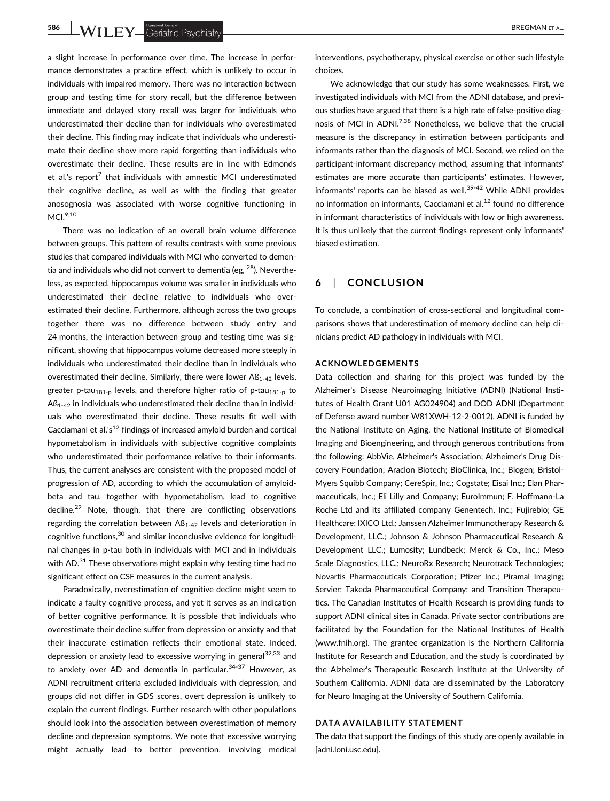586 WILEY Geriatric Psychiatry **Executive Construction Construction** BREGMAN ET AL.

a slight increase in performance over time. The increase in performance demonstrates a practice effect, which is unlikely to occur in individuals with impaired memory. There was no interaction between group and testing time for story recall, but the difference between immediate and delayed story recall was larger for individuals who underestimated their decline than for individuals who overestimated their decline. This finding may indicate that individuals who underestimate their decline show more rapid forgetting than individuals who overestimate their decline. These results are in line with Edmonds et al.'s report<sup>7</sup> that individuals with amnestic MCI underestimated their cognitive decline, as well as with the finding that greater anosognosia was associated with worse cognitive functioning in  $MCI.<sup>9,10</sup>$ 

There was no indication of an overall brain volume difference between groups. This pattern of results contrasts with some previous studies that compared individuals with MCI who converted to dementia and individuals who did not convert to dementia (eg,  $^{28}$ ). Nevertheless, as expected, hippocampus volume was smaller in individuals who underestimated their decline relative to individuals who overestimated their decline. Furthermore, although across the two groups together there was no difference between study entry and 24 months, the interaction between group and testing time was significant, showing that hippocampus volume decreased more steeply in individuals who underestimated their decline than in individuals who overestimated their decline. Similarly, there were lower  $AB<sub>1-42</sub>$  levels, greater p-tau<sub>181-p</sub> levels, and therefore higher ratio of p-tau<sub>181-p</sub> to  $AS<sub>1-42</sub>$  in individuals who underestimated their decline than in individuals who overestimated their decline. These results fit well with Cacciamani et al.' $s^{12}$  findings of increased amyloid burden and cortical hypometabolism in individuals with subjective cognitive complaints who underestimated their performance relative to their informants. Thus, the current analyses are consistent with the proposed model of progression of AD, according to which the accumulation of amyloidbeta and tau, together with hypometabolism, lead to cognitive decline.29 Note, though, that there are conflicting observations regarding the correlation between  $AB_{1-42}$  levels and deterioration in cognitive functions,30 and similar inconclusive evidence for longitudinal changes in p-tau both in individuals with MCI and in individuals with AD.<sup>31</sup> These observations might explain why testing time had no significant effect on CSF measures in the current analysis.

Paradoxically, overestimation of cognitive decline might seem to indicate a faulty cognitive process, and yet it serves as an indication of better cognitive performance. It is possible that individuals who overestimate their decline suffer from depression or anxiety and that their inaccurate estimation reflects their emotional state. Indeed, depression or anxiety lead to excessive worrying in general<sup>32,33</sup> and to anxiety over AD and dementia in particular. $34-37$  However, as ADNI recruitment criteria excluded individuals with depression, and groups did not differ in GDS scores, overt depression is unlikely to explain the current findings. Further research with other populations should look into the association between overestimation of memory decline and depression symptoms. We note that excessive worrying might actually lead to better prevention, involving medical

interventions, psychotherapy, physical exercise or other such lifestyle choices.

We acknowledge that our study has some weaknesses. First, we investigated individuals with MCI from the ADNI database, and previous studies have argued that there is a high rate of false-positive diagnosis of MCI in ADNI.<sup>7,38</sup> Nonetheless, we believe that the crucial measure is the discrepancy in estimation between participants and informants rather than the diagnosis of MCI. Second, we relied on the participant-informant discrepancy method, assuming that informants' estimates are more accurate than participants' estimates. However, informants' reports can be biased as well. $39-42$  While ADNI provides no information on informants, Cacciamani et al.<sup>12</sup> found no difference in informant characteristics of individuals with low or high awareness. It is thus unlikely that the current findings represent only informants' biased estimation.

## 6 | CONCLUSION

To conclude, a combination of cross-sectional and longitudinal comparisons shows that underestimation of memory decline can help clinicians predict AD pathology in individuals with MCI.

#### ACKNOWLEDGEMENTS

Data collection and sharing for this project was funded by the Alzheimer's Disease Neuroimaging Initiative (ADNI) (National Institutes of Health Grant U01 AG024904) and DOD ADNI (Department of Defense award number W81XWH-12-2-0012). ADNI is funded by the National Institute on Aging, the National Institute of Biomedical Imaging and Bioengineering, and through generous contributions from the following: AbbVie, Alzheimer's Association; Alzheimer's Drug Discovery Foundation; Araclon Biotech; BioClinica, Inc.; Biogen; Bristol-Myers Squibb Company; CereSpir, Inc.; Cogstate; Eisai Inc.; Elan Pharmaceuticals, Inc.; Eli Lilly and Company; EuroImmun; F. Hoffmann-La Roche Ltd and its affiliated company Genentech, Inc.; Fujirebio; GE Healthcare; IXICO Ltd.; Janssen Alzheimer Immunotherapy Research & Development, LLC.; Johnson & Johnson Pharmaceutical Research & Development LLC.; Lumosity; Lundbeck; Merck & Co., Inc.; Meso Scale Diagnostics, LLC.; NeuroRx Research; Neurotrack Technologies; Novartis Pharmaceuticals Corporation; Pfizer Inc.; Piramal Imaging; Servier; Takeda Pharmaceutical Company; and Transition Therapeutics. The Canadian Institutes of Health Research is providing funds to support ADNI clinical sites in Canada. Private sector contributions are facilitated by the Foundation for the National Institutes of Health ([www.fnih.org\)](http://www.fnih.org). The grantee organization is the Northern California Institute for Research and Education, and the study is coordinated by the Alzheimer's Therapeutic Research Institute at the University of Southern California. ADNI data are disseminated by the Laboratory for Neuro Imaging at the University of Southern California.

#### DATA AVAILABILITY STATEMENT

The data that support the findings of this study are openly available in [adni.loni.usc.edu].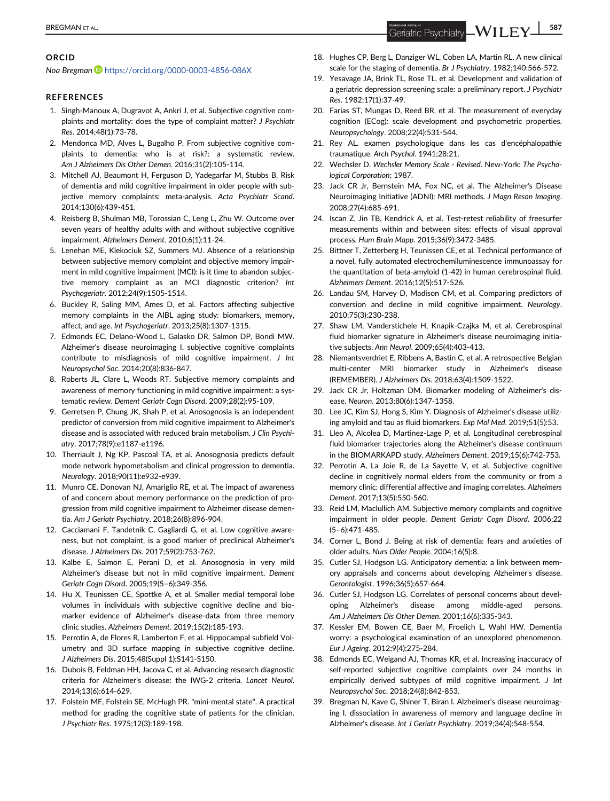## BREGMAN ET AL. 587

## ORCID

Noa Bregman D<https://orcid.org/0000-0003-4856-086X>

#### **REFERENCES**

- 1. Singh-Manoux A, Dugravot A, Ankri J, et al. Subjective cognitive complaints and mortality: does the type of complaint matter? J Psychiatr Res. 2014;48(1):73-78.
- 2. Mendonca MD, Alves L, Bugalho P. From subjective cognitive complaints to dementia: who is at risk?: a systematic review. Am J Alzheimers Dis Other Demen. 2016;31(2):105-114.
- 3. Mitchell AJ, Beaumont H, Ferguson D, Yadegarfar M, Stubbs B. Risk of dementia and mild cognitive impairment in older people with subjective memory complaints: meta-analysis. Acta Psychiatr Scand. 2014;130(6):439-451.
- 4. Reisberg B, Shulman MB, Torossian C, Leng L, Zhu W. Outcome over seven years of healthy adults with and without subjective cognitive impairment. Alzheimers Dement. 2010;6(1):11-24.
- 5. Lenehan ME, Klekociuk SZ, Summers MJ. Absence of a relationship between subjective memory complaint and objective memory impairment in mild cognitive impairment (MCI): is it time to abandon subjective memory complaint as an MCI diagnostic criterion? Int Psychogeriatr. 2012;24(9):1505-1514.
- 6. Buckley R, Saling MM, Ames D, et al. Factors affecting subjective memory complaints in the AIBL aging study: biomarkers, memory, affect, and age. Int Psychogeriatr. 2013;25(8):1307-1315.
- 7. Edmonds EC, Delano-Wood L, Galasko DR, Salmon DP, Bondi MW. Alzheimer's disease neuroimaging I. subjective cognitive complaints contribute to misdiagnosis of mild cognitive impairment. J Int Neuropsychol Soc. 2014;20(8):836-847.
- 8. Roberts JL, Clare L, Woods RT. Subjective memory complaints and awareness of memory functioning in mild cognitive impairment: a systematic review. Dement Geriatr Cogn Disord. 2009;28(2):95-109.
- 9. Gerretsen P, Chung JK, Shah P, et al. Anosognosia is an independent predictor of conversion from mild cognitive impairment to Alzheimer's disease and is associated with reduced brain metabolism. J Clin Psychiatry. 2017;78(9):e1187-e1196.
- 10. Therriault J, Ng KP, Pascoal TA, et al. Anosognosia predicts default mode network hypometabolism and clinical progression to dementia. Neurology. 2018;90(11):e932-e939.
- 11. Munro CE, Donovan NJ, Amariglio RE, et al. The impact of awareness of and concern about memory performance on the prediction of progression from mild cognitive impairment to Alzheimer disease dementia. Am J Geriatr Psychiatry. 2018;26(8):896-904.
- 12. Cacciamani F, Tandetnik C, Gagliardi G, et al. Low cognitive awareness, but not complaint, is a good marker of preclinical Alzheimer's disease. J Alzheimers Dis. 2017;59(2):753-762.
- 13. Kalbe E, Salmon E, Perani D, et al. Anosognosia in very mild Alzheimer's disease but not in mild cognitive impairment. Dement Geriatr Cogn Disord. 2005;19(5–6):349-356.
- 14. Hu X, Teunissen CE, Spottke A, et al. Smaller medial temporal lobe volumes in individuals with subjective cognitive decline and biomarker evidence of Alzheimer's disease-data from three memory clinic studies. Alzheimers Dement. 2019;15(2):185-193.
- 15. Perrotin A, de Flores R, Lamberton F, et al. Hippocampal subfield Volumetry and 3D surface mapping in subjective cognitive decline. J Alzheimers Dis. 2015;48(Suppl 1):S141-S150.
- 16. Dubois B, Feldman HH, Jacova C, et al. Advancing research diagnostic criteria for Alzheimer's disease: the IWG-2 criteria. Lancet Neurol. 2014;13(6):614-629.
- 17. Folstein MF, Folstein SE, McHugh PR. "mini-mental state". A practical method for grading the cognitive state of patients for the clinician. J Psychiatr Res. 1975;12(3):189-198.
- 18. Hughes CP, Berg L, Danziger WL, Coben LA, Martin RL. A new clinical scale for the staging of dementia. Br J Psychiatry. 1982;140:566-572.
- 19. Yesavage JA, Brink TL, Rose TL, et al. Development and validation of a geriatric depression screening scale: a preliminary report. J Psychiatr Res. 1982;17(1):37-49.
- 20. Farias ST, Mungas D, Reed BR, et al. The measurement of everyday cognition (ECog): scale development and psychometric properties. Neuropsychology. 2008;22(4):531-544.
- 21. Rey AL. examen psychologique dans les cas d'encéphalopathie traumatique. Arch Psychol. 1941;28:21.
- 22. Wechsler D. Wechsler Memory Scale Revised. New-York: The Psychological Corporation; 1987.
- 23. Jack CR Jr, Bernstein MA, Fox NC, et al. The Alzheimer's Disease Neuroimaging Initiative (ADNI): MRI methods. J Magn Reson Imaging. 2008;27(4):685-691.
- 24. Iscan Z, Jin TB, Kendrick A, et al. Test-retest reliability of freesurfer measurements within and between sites: effects of visual approval process. Hum Brain Mapp. 2015;36(9):3472-3485.
- 25. Bittner T, Zetterberg H, Teunissen CE, et al. Technical performance of a novel, fully automated electrochemiluminescence immunoassay for the quantitation of beta-amyloid (1-42) in human cerebrospinal fluid. Alzheimers Dement. 2016;12(5):517-526.
- 26. Landau SM, Harvey D, Madison CM, et al. Comparing predictors of conversion and decline in mild cognitive impairment. Neurology. 2010;75(3):230-238.
- 27. Shaw LM, Vanderstichele H, Knapik-Czajka M, et al. Cerebrospinal fluid biomarker signature in Alzheimer's disease neuroimaging initiative subjects. Ann Neurol. 2009;65(4):403-413.
- 28. Niemantsverdriet E, Ribbens A, Bastin C, et al. A retrospective Belgian multi-center MRI biomarker study in Alzheimer's disease (REMEMBER). J Alzheimers Dis. 2018;63(4):1509-1522.
- 29. Jack CR Jr, Holtzman DM. Biomarker modeling of Alzheimer's disease. Neuron. 2013;80(6):1347-1358.
- 30. Lee JC, Kim SJ, Hong S, Kim Y. Diagnosis of Alzheimer's disease utilizing amyloid and tau as fluid biomarkers. Exp Mol Med. 2019;51(5):53.
- 31. Lleo A, Alcolea D, Martinez-Lage P, et al. Longitudinal cerebrospinal fluid biomarker trajectories along the Alzheimer's disease continuum in the BIOMARKAPD study. Alzheimers Dement. 2019;15(6):742-753.
- 32. Perrotin A, La Joie R, de La Sayette V, et al. Subjective cognitive decline in cognitively normal elders from the community or from a memory clinic: differential affective and imaging correlates. Alzheimers Dement. 2017;13(5):550-560.
- 33. Reid LM, Maclullich AM. Subjective memory complaints and cognitive impairment in older people. Dement Geriatr Cogn Disord. 2006;22 (5–6):471-485.
- 34. Corner L, Bond J. Being at risk of dementia: fears and anxieties of older adults. Nurs Older People. 2004;16(5):8.
- 35. Cutler SJ, Hodgson LG. Anticipatory dementia: a link between memory appraisals and concerns about developing Alzheimer's disease. Gerontologist. 1996;36(5):657-664.
- 36. Cutler SJ, Hodgson LG. Correlates of personal concerns about developing Alzheimer's disease among middle-aged persons. Am J Alzheimers Dis Other Demen. 2001;16(6):335-343.
- 37. Kessler EM, Bowen CE, Baer M, Froelich L, Wahl HW. Dementia worry: a psychological examination of an unexplored phenomenon. Eur J Ageing. 2012;9(4):275-284.
- 38. Edmonds EC, Weigand AJ, Thomas KR, et al. Increasing inaccuracy of self-reported subjective cognitive complaints over 24 months in empirically derived subtypes of mild cognitive impairment. J Int Neuropsychol Soc. 2018;24(8):842-853.
- 39. Bregman N, Kave G, Shiner T, Biran I. Alzheimer's disease neuroimaging I. dissociation in awareness of memory and language decline in Alzheimer's disease. Int J Geriatr Psychiatry. 2019;34(4):548-554.